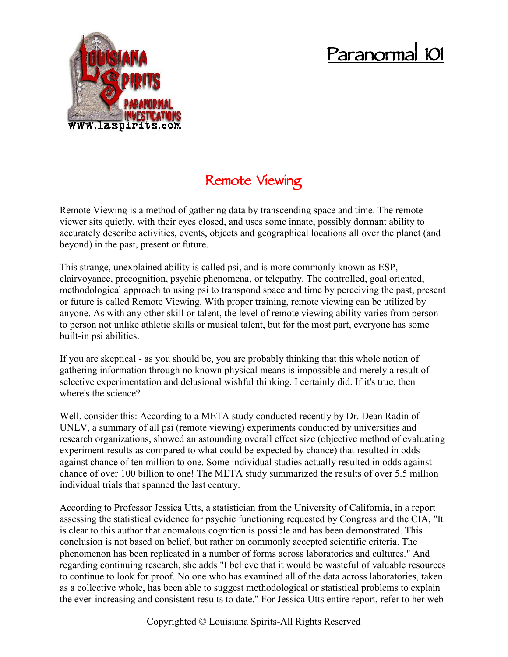## **Paranormal 101**



## **Remote Viewing**

Remote Viewing is a method of gathering data by transcending space and time. The remote viewer sits quietly, with their eyes closed, and uses some innate, possibly dormant ability to accurately describe activities, events, objects and geographical locations all over the planet (and beyond) in the past, present or future.

This strange, unexplained ability is called psi, and is more commonly known as ESP, clairvoyance, precognition, psychic phenomena, or telepathy. The controlled, goal oriented, methodological approach to using psi to transpond space and time by perceiving the past, present or future is called Remote Viewing. With proper training, remote viewing can be utilized by anyone. As with any other skill or talent, the level of remote viewing ability varies from person to person not unlike athletic skills or musical talent, but for the most part, everyone has some built-in psi abilities.

If you are skeptical - as you should be, you are probably thinking that this whole notion of gathering information through no known physical means is impossible and merely a result of selective experimentation and delusional wishful thinking. I certainly did. If it's true, then where's the science?

Well, consider this: According to a META study conducted recently by Dr. Dean Radin of UNLV, a summary of all psi (remote viewing) experiments conducted by universities and research organizations, showed an astounding overall effect size (objective method of evaluating experiment results as compared to what could be expected by chance) that resulted in odds against chance of ten million to one. Some individual studies actually resulted in odds against chance of over 100 billion to one! The META study summarized the results of over 5.5 million individual trials that spanned the last century.

According to Professor Jessica Utts, a statistician from the University of California, in a report assessing the statistical evidence for psychic functioning requested by Congress and the CIA, "It is clear to this author that anomalous cognition is possible and has been demonstrated. This conclusion is not based on belief, but rather on commonly accepted scientific criteria. The phenomenon has been replicated in a number of forms across laboratories and cultures." And regarding continuing research, she adds "I believe that it would be wasteful of valuable resources to continue to look for proof. No one who has examined all of the data across laboratories, taken as a collective whole, has been able to suggest methodological or statistical problems to explain the ever-increasing and consistent results to date." For Jessica Utts entire report, refer to her web